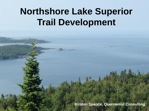# **Northshore Lake Superior Trail Development**

**Kirsten Spence, Quercwood Consulting**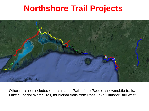### **Northshore Trail Projects**



Other trails not included on this map – Path of the Paddle, snowmobile trails, Lake Superior Water Trail, municipal trails from Pass Lake/Thunder Bay west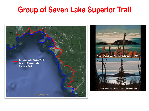### **Group of Seven Lake Superior Trail**

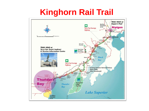### **Kinghorn Rail Trail**

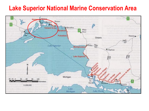#### **Lake Superior National Marine Conservation Area**

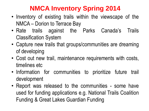#### **NMCA Inventory Spring 2014**

- Inventory of existing trails within the viewscape of the NMCA – Dorion to Terrace Bay
- Rate trails against the Parks Canada's Trails Classification System
- Capture new trails that groups/communities are dreaming of developing
- Cost out new trail, maintenance requirements with costs, timelines etc
- Information for communities to prioritize future trail development
- Report was released to the communities some have used for funding applications e.g. National Trails Coalition Funding & Great Lakes Guardian Funding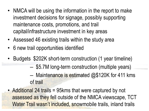- NMCA will be using the information in the report to make investment decisions for signage, possibly supporting maintenance costs, promotions, and trail capital/infrastructure investment in key areas
- Assessed 46 existing trails within the study area
- 6 new trail opportunities identified
- Budgets \$202K short-term construction (1 year timeline)
	- \$5.7M long-term construction (multiple years)
	- Maintenance is estimated  $@$120K$  for 411 kms of trail
- Additional 24 trails = 95kms that were captured by not assessed as they fell outside of the NMCA viewscape, TCT Water Trail wasn't included, snowmobile trails, inland trails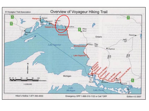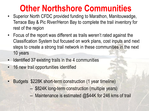## **Other Northshore Communities**

- Superior North CFDC provided funding to Marathon, Manitouwadge, Terrace Bay & Pic River/Heron Bay to complete the trail inventory for rest of the region
- Focus of the report was different as trails weren't rated against the Classification System but focused on work plans, cost inputs and next steps to create a strong trail network in these communities in the next 10 years
- Identified 37 existing trails in the 4 communities
- 16 new trail opportunities identified
- Budgets \$228K short-term construction (1 year timeline)
	- \$824K long-term construction (multiple years)
	- Maintenance is estimated @\$44K for 246 kms of trail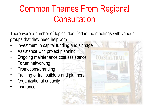# Common Themes From Regional **Consultation**

There were a number of topics identified in the meetings with various groups that they need help with.

- Investment in capital funding and signage
- Assistance with project planning
- Ongoing maintenance cost assistance
- Forum networking
- Promotions/branding
- Training of trail builders and planners
- Organizational capacity
- **Insurance**

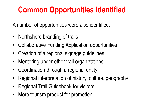## **Common Opportunities Identified**

A number of opportunities were also identified:

- Northshore branding of trails
- Collaborative Funding Application opportunities
- Creation of a regional signage guidelines
- Mentoring under other trail organizations
- Coordination through a regional entity
- Regional interpretation of history, culture, geography
- Regional Trail Guidebook for visitors
- More tourism product for promotion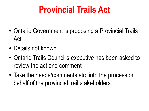# **Provincial Trails Act**

- Ontario Government is proposing a Provincial Trails Act
- Details not known
- Ontario Trails Council's executive has been asked to review the act and comment
- Take the needs/comments etc. into the process on behalf of the provincial trail stakeholders